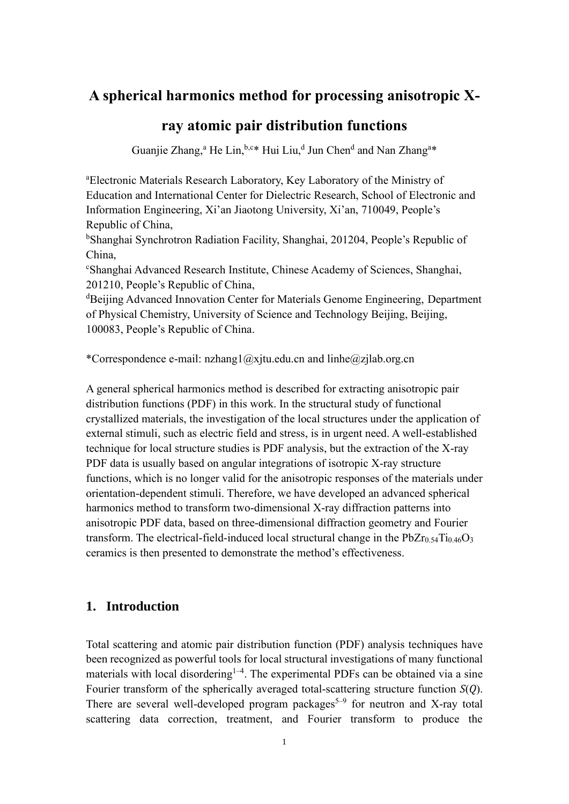# **A spherical harmonics method for processing anisotropic X-**

## **ray atomic pair distribution functions**

Guanjie Zhang,<sup>a</sup> He Lin, h,c\* Hui Liu,d Jun Chend and Nan Zhang<sup>a\*</sup>

<sup>a</sup>Electronic Materials Research Laboratory, Key Laboratory of the Ministry of Education and International Center for Dielectric Research, School of Electronic and Information Engineering, Xi'an Jiaotong University, Xi'an, 710049, People's Republic of China,

<sup>b</sup>Shanghai Synchrotron Radiation Facility, Shanghai, 201204, People's Republic of China,

<sup>c</sup>Shanghai Advanced Research Institute, Chinese Academy of Sciences, Shanghai, 201210, People's Republic of China,

<sup>d</sup>Beijing Advanced Innovation Center for Materials Genome Engineering, Department of Physical Chemistry, University of Science and Technology Beijing, Beijing, 100083, People's Republic of China.

\*Correspondence e-mail: nzhang1@xjtu.edu.cn and linhe@zjlab.org.cn

A general spherical harmonics method is described for extracting anisotropic pair distribution functions (PDF) in this work. In the structural study of functional crystallized materials, the investigation of the local structures under the application of external stimuli, such as electric field and stress, is in urgent need. A well-established technique for local structure studies is PDF analysis, but the extraction of the X-ray PDF data is usually based on angular integrations of isotropic X-ray structure functions, which is no longer valid for the anisotropic responses of the materials under orientation-dependent stimuli. Therefore, we have developed an advanced spherical harmonics method to transform two-dimensional X-ray diffraction patterns into anisotropic PDF data, based on three-dimensional diffraction geometry and Fourier transform. The electrical-field-induced local structural change in the  $PbZr<sub>0.54</sub>Ti<sub>0.46</sub>O<sub>3</sub>$ ceramics is then presented to demonstrate the method's effectiveness.

## **1. Introduction**

Total scattering and atomic pair distribution function (PDF) analysis techniques have been recognized as powerful tools for local structural investigations of many functional materials with local disordering<sup>1-4</sup>. The experimental PDFs can be obtained via a sine Fourier transform of the spherically averaged total-scattering structure function *S*(*Q*). There are several well-developed program packages<sup>5-9</sup> for neutron and X-ray total scattering data correction, treatment, and Fourier transform to produce the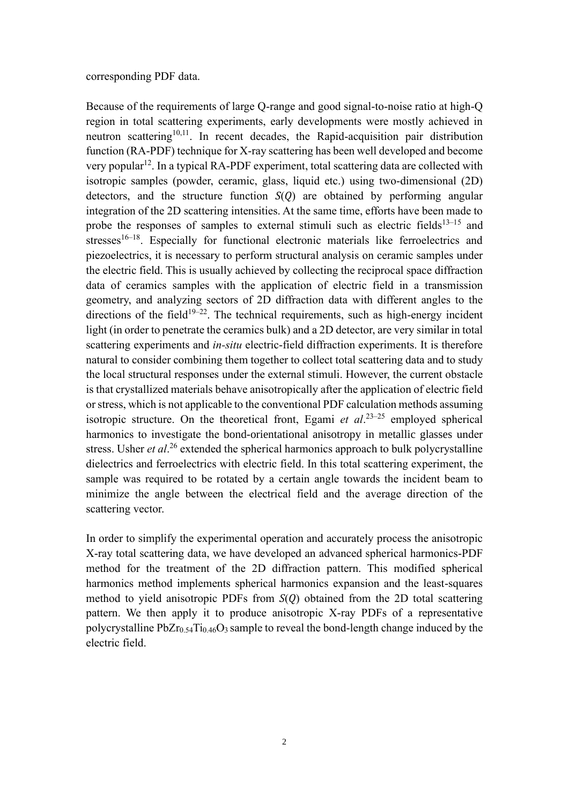#### corresponding PDF data.

Because of the requirements of large Q-range and good signal-to-noise ratio at high-Q region in total scattering experiments, early developments were mostly achieved in neutron scattering<sup>10,11</sup>. In recent decades, the Rapid-acquisition pair distribution function (RA-PDF) technique for X-ray scattering has been well developed and become very popular<sup>12</sup>. In a typical RA-PDF experiment, total scattering data are collected with isotropic samples (powder, ceramic, glass, liquid etc.) using two-dimensional (2D) detectors, and the structure function *S*(*Q*) are obtained by performing angular integration of the 2D scattering intensities. At the same time, efforts have been made to probe the responses of samples to external stimuli such as electric fields<sup>13–15</sup> and stresses<sup>16–18</sup>. Especially for functional electronic materials like ferroelectrics and piezoelectrics, it is necessary to perform structural analysis on ceramic samples under the electric field. This is usually achieved by collecting the reciprocal space diffraction data of ceramics samples with the application of electric field in a transmission geometry, and analyzing sectors of 2D diffraction data with different angles to the directions of the field<sup>19–22</sup>. The technical requirements, such as high-energy incident light (in order to penetrate the ceramics bulk) and a 2D detector, are very similar in total scattering experiments and *in-situ* electric-field diffraction experiments. It is therefore natural to consider combining them together to collect total scattering data and to study the local structural responses under the external stimuli. However, the current obstacle is that crystallized materials behave anisotropically after the application of electric field or stress, which is not applicable to the conventional PDF calculation methods assuming isotropic structure. On the theoretical front, Egami et al.<sup>23-25</sup> employed spherical harmonics to investigate the bond-orientational anisotropy in metallic glasses under stress. Usher *et al*. <sup>26</sup> extended the spherical harmonics approach to bulk polycrystalline dielectrics and ferroelectrics with electric field. In this total scattering experiment, the sample was required to be rotated by a certain angle towards the incident beam to minimize the angle between the electrical field and the average direction of the scattering vector.

In order to simplify the experimental operation and accurately process the anisotropic X-ray total scattering data, we have developed an advanced spherical harmonics-PDF method for the treatment of the 2D diffraction pattern. This modified spherical harmonics method implements spherical harmonics expansion and the least-squares method to yield anisotropic PDFs from *S*(*Q*) obtained from the 2D total scattering pattern. We then apply it to produce anisotropic X-ray PDFs of a representative polycrystalline  $PbZr<sub>0.54</sub>Ti<sub>0.46</sub>O<sub>3</sub>$  sample to reveal the bond-length change induced by the electric field.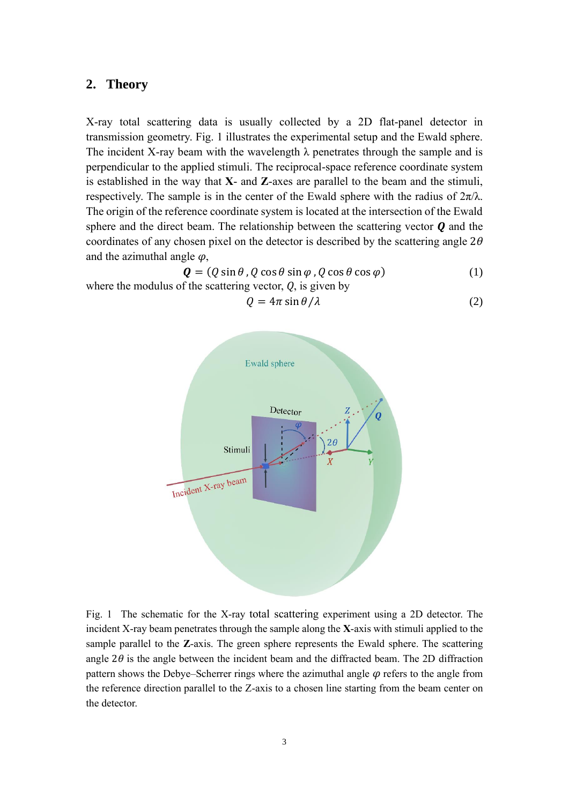### **2. Theory**

X-ray total scattering data is usually collected by a 2D flat-panel detector in transmission geometry. [Fig. 1](#page-2-0) illustrates the experimental setup and the Ewald sphere. The incident X-ray beam with the wavelength  $\lambda$  penetrates through the sample and is perpendicular to the applied stimuli. The reciprocal-space reference coordinate system is established in the way that **X**- and **Z**-axes are parallel to the beam and the stimuli, respectively. The sample is in the center of the Ewald sphere with the radius of  $2\pi/\lambda$ . The origin of the reference coordinate system is located at the intersection of the Ewald sphere and the direct beam. The relationship between the scattering vector *Q* and the coordinates of any chosen pixel on the detector is described by the scattering angle 2*θ* and the azimuthal angle *φ*,

$$
Q = (Q \sin \theta, Q \cos \theta \sin \varphi, Q \cos \theta \cos \varphi)
$$
 (1)  
where the modulus of the scattering vector, Q, is given by

<span id="page-2-2"></span><span id="page-2-1"></span>
$$
Q = 4\pi \sin \theta / \lambda \tag{2}
$$

<span id="page-2-0"></span>Fig. 1 The schematic for the X-ray total scattering experiment using a 2D detector. The incident X-ray beam penetrates through the sample along the **X**-axis with stimuli applied to the sample parallel to the **Z**-axis. The green sphere represents the Ewald sphere. The scattering angle  $2\theta$  is the angle between the incident beam and the diffracted beam. The 2D diffraction pattern shows the Debye–Scherrer rings where the azimuthal angle *φ* refers to the angle from the reference direction parallel to the Z-axis to a chosen line starting from the beam center on the detector.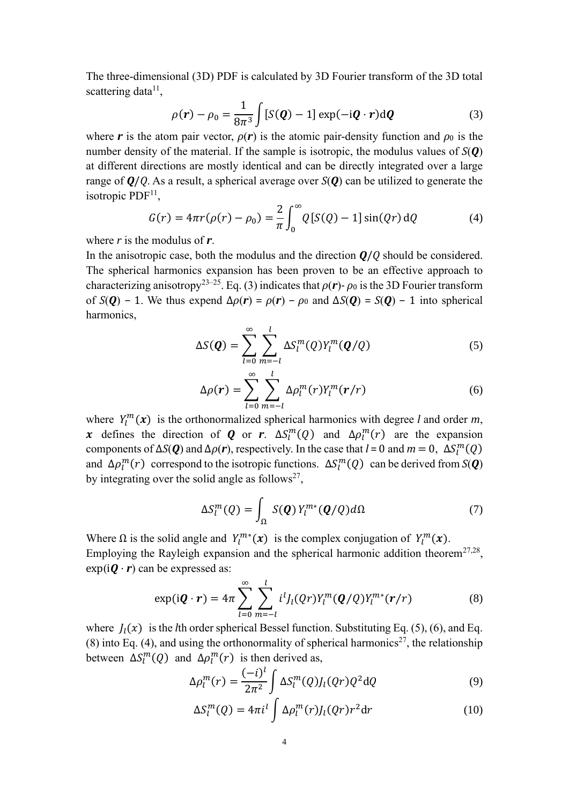The three-dimensional (3D) PDF is calculated by 3D Fourier transform of the 3D total scattering data<sup>11</sup>,

<span id="page-3-0"></span>
$$
\rho(\mathbf{r}) - \rho_0 = \frac{1}{8\pi^3} \int [S(\mathbf{Q}) - 1] \exp(-i\mathbf{Q} \cdot \mathbf{r}) d\mathbf{Q}
$$
 (3)

where *r* is the atom pair vector,  $\rho(r)$  is the atomic pair-density function and  $\rho_0$  is the number density of the material. If the sample is isotropic, the modulus values of *S*(*Q*) at different directions are mostly identical and can be directly integrated over a large range of *Q*/*Q*. As a result, a spherical average over *S*(*Q*) can be utilized to generate the isotropic  $PDF<sup>11</sup>$ ,

$$
G(r) = 4\pi r(\rho(r) - \rho_0) = \frac{2}{\pi} \int_0^{\infty} Q[S(Q) - 1] \sin(Qr) dQ
$$
 (4)

where *r* is the modulus of *r*.

In the anisotropic case, both the modulus and the direction *Q*/*Q* should be considered. The spherical harmonics expansion has been proven to be an effective approach to characterizing anisotropy<sup>23–25</sup>. Eq[. \(3\)](#page-3-0) indicates that  $\rho(r)$ -  $\rho_0$  is the 3D Fourier transform of  $S(Q) - 1$ . We thus expend  $\Delta \rho(r) = \rho(r) - \rho_0$  and  $\Delta S(Q) = S(Q) - 1$  into spherical harmonics,

<span id="page-3-4"></span>
$$
\Delta S(\boldsymbol{Q}) = \sum_{l=0}^{\infty} \sum_{m=-l}^{l} \Delta S_l^m(Q) Y_l^m(\boldsymbol{Q}/Q) \tag{5}
$$

<span id="page-3-2"></span><span id="page-3-1"></span>
$$
\Delta \rho(\mathbf{r}) = \sum_{l=0}^{\infty} \sum_{m=-l}^{l} \Delta \rho_l^m(r) Y_l^m(\mathbf{r}/r)
$$
\n(6)

where  $Y_l^m(x)$  is the orthonormalized spherical harmonics with degree *l* and order *m*, x defines the direction of **Q** or r.  $\Delta S_l^m(Q)$  and  $\Delta \rho_l^m(r)$  are the expansion components of  $\Delta S(Q)$  and  $\Delta \rho(r)$ , respectively. In the case that  $l = 0$  and  $m = 0$ ,  $\Delta S_l^m(Q)$ and  $\Delta \rho_l^m(r)$  correspond to the isotropic functions.  $\Delta S_l^m(Q)$  can be derived from  $S(Q)$ by integrating over the solid angle as follows<sup>27</sup>,

<span id="page-3-5"></span><span id="page-3-3"></span>
$$
\Delta S_l^m(Q) = \int_{\Omega} S(\boldsymbol{Q}) Y_l^{m*}(\boldsymbol{Q}/Q) d\Omega \tag{7}
$$

Where  $\Omega$  is the solid angle and  $Y_l^{m*}(x)$  is the complex conjugation of  $Y_l^m(x)$ . Employing the Rayleigh expansion and the spherical harmonic addition theorem<sup>27,28</sup>,  $exp(i\boldsymbol{Q}\cdot\boldsymbol{r})$  can be expressed as:

$$
\exp(i\boldsymbol{Q}\cdot\boldsymbol{r})=4\pi\sum_{l=0}^{\infty}\sum_{m=-l}^{l}i^{l}J_{l}(Qr)Y_{l}^{m}(\boldsymbol{Q}/Q)Y_{l}^{m*}(\boldsymbol{r}/r) \qquad (8)
$$

where  $J_1(x)$  is the *l*th order spherical Bessel function. Substituting Eq. [\(5\),](#page-3-1) [\(6\),](#page-3-2) and Eq. [\(8\)](#page-3-3) into Eq. [\(4\),](#page-3-4) and using the orthonormality of spherical harmonics<sup>27</sup>, the relationship between  $\Delta S_l^m(Q)$  and  $\Delta \rho_l^m(r)$  is then derived as,

$$
\Delta \rho_l^m(r) = \frac{(-i)^l}{2\pi^2} \int \Delta S_l^m(Q) J_l(Qr) Q^2 \mathrm{d}Q \tag{9}
$$

<span id="page-3-6"></span>
$$
\Delta S_l^m(Q) = 4\pi i^l \int \Delta \rho_l^m(r) J_l(Qr) r^2 dr \qquad (10)
$$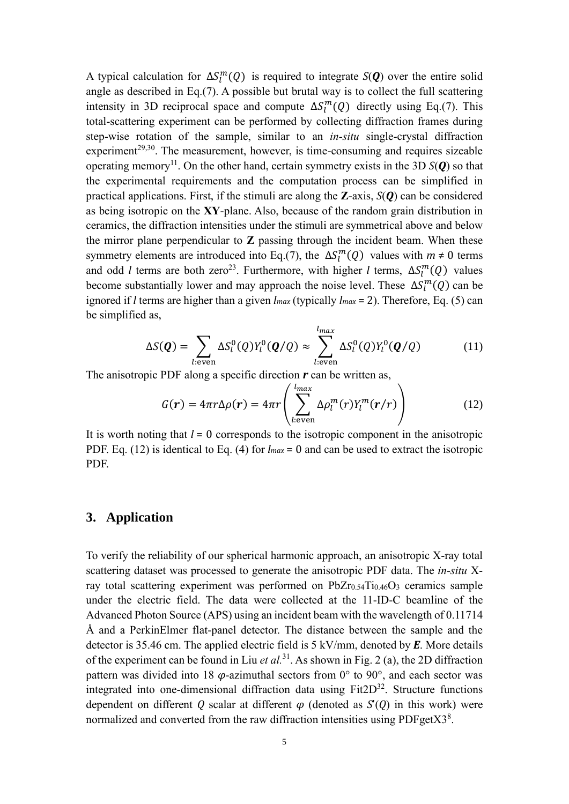A typical calculation for  $\Delta S_l^m(Q)$  is required to integrate  $S(Q)$  over the entire solid angle as described in Eq[.\(7\).](#page-3-5) A possible but brutal way is to collect the full scattering intensity in 3D reciprocal space and compute  $\Delta S_l^m(Q)$  directly using Eq[.\(7\).](#page-3-5) This total-scattering experiment can be performed by collecting diffraction frames during step-wise rotation of the sample, similar to an *in-situ* single-crystal diffraction experiment<sup>29,30</sup>. The measurement, however, is time-consuming and requires sizeable operating memory<sup>11</sup>. On the other hand, certain symmetry exists in the 3D  $S(Q)$  so that the experimental requirements and the computation process can be simplified in practical applications. First, if the stimuli are along the **Z**-axis, *S*(*Q*) can be considered as being isotropic on the **XY**-plane. Also, because of the random grain distribution in ceramics, the diffraction intensities under the stimuli are symmetrical above and below the mirror plane perpendicular to **Z** passing through the incident beam. When these symmetry elements are introduced into Eq[.\(7\),](#page-3-5) the  $\Delta S_l^m(Q)$  values with  $m \neq 0$  terms and odd *l* terms are both zero<sup>23</sup>. Furthermore, with higher *l* terms,  $\Delta S_l^m(Q)$  values become substantially lower and may approach the noise level. These  $\Delta S_l^m(Q)$  can be ignored if *l* terms are higher than a given *lmax* (typically *lmax* = 2). Therefore, Eq. [\(5\)](#page-3-1) can be simplified as,

$$
\Delta S(\boldsymbol{Q}) = \sum_{l:\text{even}} \Delta S_l^0(Q) Y_l^0(\boldsymbol{Q}/Q) \approx \sum_{l:\text{even}}^{l_{max}} \Delta S_l^0(Q) Y_l^0(\boldsymbol{Q}/Q) \tag{11}
$$

The anisotropic PDF along a specific direction *r* can be written as,

<span id="page-4-1"></span><span id="page-4-0"></span>
$$
G(r) = 4\pi r \Delta \rho(r) = 4\pi r \left( \sum_{l:\text{even}}^{l_{max}} \Delta \rho_l^m(r) Y_l^m(r/r) \right) \tag{12}
$$

It is worth noting that  $l = 0$  corresponds to the isotropic component in the anisotropic PDF. Eq. [\(12\)](#page-4-0) is identical to Eq. [\(4\)](#page-3-4) for *lmax* = 0 and can be used to extract the isotropic PDF.

### **3. Application**

To verify the reliability of our spherical harmonic approach, an anisotropic X-ray total scattering dataset was processed to generate the anisotropic PDF data. The *in-situ* Xray total scattering experiment was performed on  $PbZr<sub>0.54</sub>Ti<sub>0.46</sub>O<sub>3</sub>$  ceramics sample under the electric field. The data were collected at the 11-ID-C beamline of the Advanced Photon Source (APS) using an incident beam with the wavelength of 0.11714 Å and a PerkinElmer flat-panel detector. The distance between the sample and the detector is 35.46 cm. The applied electric field is 5 kV/mm, denoted by *E*. More details of the experiment can be found in Liu *et al.*<sup>31</sup> . As shown in [Fig. 2](#page-5-0) (a), the 2D diffraction pattern was divided into 18  $\varphi$ -azimuthal sectors from 0° to 90°, and each sector was integrated into one-dimensional diffraction data using  $Fit2D<sup>32</sup>$ . Structure functions dependent on different *Q* scalar at different *φ* (denoted as *S*'(*Q*) in this work) were normalized and converted from the raw diffraction intensities using PDFget $X3<sup>8</sup>$ .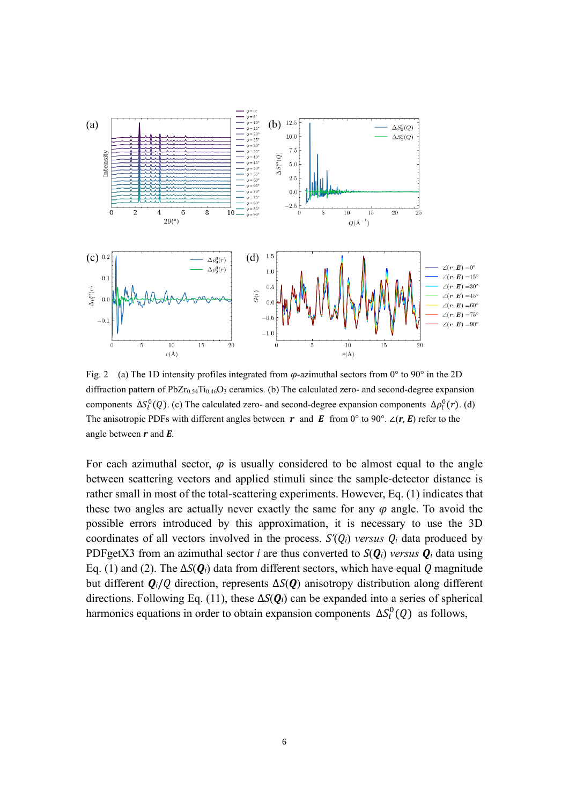

<span id="page-5-0"></span>Fig. 2 (a) The 1D intensity profiles integrated from *φ*-azimuthal sectors from 0° to 90° in the 2D diffraction pattern of PbZr<sub>0.54</sub>Ti<sub>0.46</sub>O<sub>3</sub> ceramics. (b) The calculated zero- and second-degree expansion components  $\Delta S_l^0(Q)$ . (c) The calculated zero- and second-degree expansion components  $\Delta \rho_l^0(r)$ . (d) The anisotropic PDFs with different angles between  $r$  and  $E$  from 0° to 90°. ∠( $r$ ,  $E$ ) refer to the angle between *r* and *E*.

For each azimuthal sector,  $\varphi$  is usually considered to be almost equal to the angle between scattering vectors and applied stimuli since the sample-detector distance is rather small in most of the total-scattering experiments. However, Eq. [\(1\)](#page-2-1) indicates that these two angles are actually never exactly the same for any *φ* angle. To avoid the possible errors introduced by this approximation, it is necessary to use the 3D coordinates of all vectors involved in the process.  $S'(Q_i)$  versus  $Q_i$  data produced by PDFgetX3 from an azimuthal sector *i* are thus converted to  $S(\mathbf{Q}_i)$  *versus*  $\mathbf{Q}_i$  data using Eq. [\(1\)](#page-2-1) and [\(2\).](#page-2-2) The Δ*S*(*Qi*) data from different sectors, which have equal *Q* magnitude but different *Qi*/*Q* direction, represents Δ*S*(*Q*) anisotropy distribution along different directions. Following Eq. [\(11\),](#page-4-1) these Δ*S*(*Qi*) can be expanded into a series of spherical harmonics equations in order to obtain expansion components  $\Delta S_l^0(Q)$  as follows,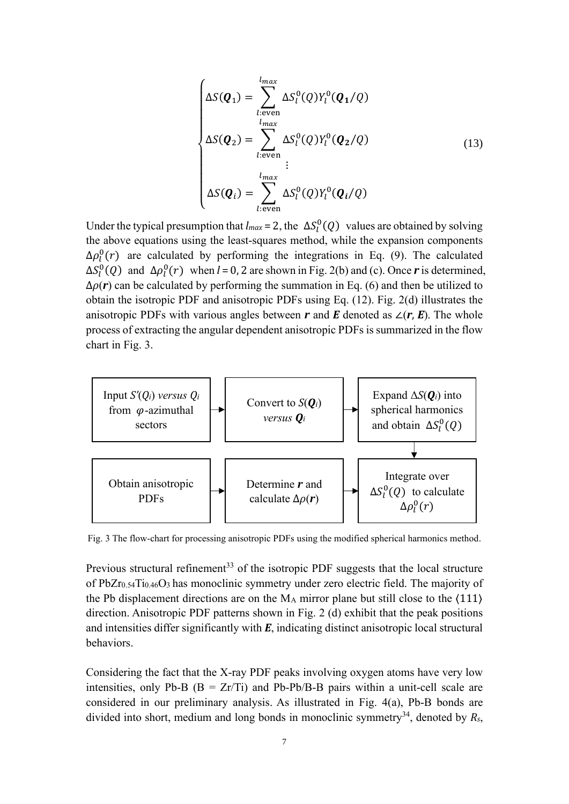$$
\begin{cases}\n\Delta S(\boldsymbol{Q}_1) = \sum_{l:\text{even}}^{l_{max}} \Delta S_l^0(Q) Y_l^0(\boldsymbol{Q}_1/Q) \\
\Delta S(\boldsymbol{Q}_2) = \sum_{l:\text{even}}^{l_{max}} \Delta S_l^0(Q) Y_l^0(\boldsymbol{Q}_2/Q) \\
\vdots \\
\Delta S(\boldsymbol{Q}_i) = \sum_{l:\text{even}}^{l_{max}} \Delta S_l^0(Q) Y_l^0(\boldsymbol{Q}_i/Q)\n\end{cases} (13)
$$

Under the typical presumption that  $l_{max} = 2$ , the  $\Delta S_l^0(Q)$  values are obtained by solving the above equations using the least-squares method, while the expansion components  $\Delta \rho_l^0(r)$  are calculated by performing the integrations in Eq. [\(9\).](#page-3-6) The calculated  $\Delta S_l^0(Q)$  and  $\Delta \rho_l^0(r)$  when *l* = 0, 2 are shown in Fig. 2(b) and (c). Once *r* is determined,  $\Delta \rho(r)$  can be calculated by performing the summation in Eq. [\(6\)](#page-3-2) and then be utilized to obtain the isotropic PDF and anisotropic PDFs using Eq. [\(12\).](#page-4-0) Fig. 2(d) illustrates the anisotropic PDFs with various angles between  $r$  and  $E$  denoted as  $\angle(r, E)$ . The whole process of extracting the angular dependent anisotropic PDFs is summarized in the flow chart in [Fig. 3.](#page-6-0)



<span id="page-6-0"></span>Fig. 3 The flow-chart for processing anisotropic PDFs using the modified spherical harmonics method.

Previous structural refinement<sup>33</sup> of the isotropic PDF suggests that the local structure of PbZr0.54Ti0.46O3 has monoclinic symmetry under zero electric field. The majority of the Pb displacement directions are on the  $M_A$  mirror plane but still close to the  $\langle 111 \rangle$ direction. Anisotropic PDF patterns shown in [Fig. 2](#page-5-0) (d) exhibit that the peak positions and intensities differ significantly with *E*, indicating distinct anisotropic local structural behaviors.

Considering the fact that the X-ray PDF peaks involving oxygen atoms have very low intensities, only Pb-B ( $B = Zr/Ti$ ) and Pb-Pb/B-B pairs within a unit-cell scale are considered in our preliminary analysis. As illustrated in [Fig. 4\(](#page-8-0)a), Pb-B bonds are divided into short, medium and long bonds in monoclinic symmetry<sup>34</sup>, denoted by  $R_s$ ,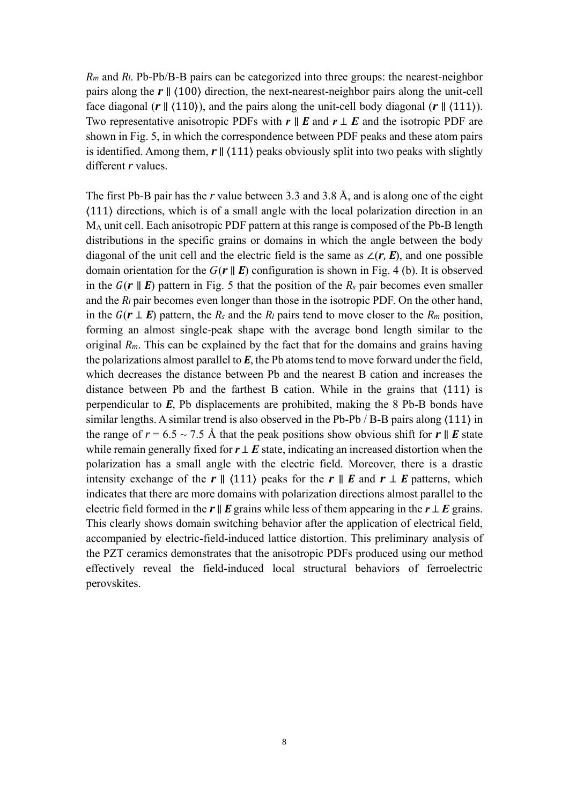*R<sup>m</sup>* and *Rl*. Pb-Pb/B-B pairs can be categorized into three groups: the nearest-neighbor pairs along the *r* ∥ ⟨100⟩ direction, the next-nearest-neighbor pairs along the unit-cell face diagonal (*r* ∥ ⟨110⟩), and the pairs along the unit-cell body diagonal (*r* ∥ ⟨111⟩). Two representative anisotropic PDFs with *r* ∥ *E* and *r* ⊥ *E* and the isotropic PDF are shown in [Fig. 5,](#page-8-1) in which the correspondence between PDF peaks and these atom pairs is identified. Among them,  $r \parallel (111)$  peaks obviously split into two peaks with slightly different *r* values.

The first Pb-B pair has the *r* value between 3.3 and 3.8 Å, and is along one of the eight ⟨111⟩ directions, which is of a small angle with the local polarization direction in an M<sup>A</sup> unit cell. Each anisotropic PDF pattern at this range is composed of the Pb-B length distributions in the specific grains or domains in which the angle between the body diagonal of the unit cell and the electric field is the same as ∠(*r*, *E*), and one possible domain orientation for the  $G(r \parallel E)$  configuration is shown in [Fig. 4](#page-8-0) (b). It is observed in the  $G(r \parallel E)$  pattern in [Fig. 5](#page-8-1) that the position of the  $R_s$  pair becomes even smaller and the *R<sup>l</sup>* pair becomes even longer than those in the isotropic PDF. On the other hand, in the  $G(r \perp E)$  pattern, the  $R_s$  and the  $R_l$  pairs tend to move closer to the  $R_m$  position, forming an almost single-peak shape with the average bond length similar to the original  $R_m$ . This can be explained by the fact that for the domains and grains having the polarizations almost parallel to *E*, the Pb atoms tend to move forward under the field, which decreases the distance between Pb and the nearest B cation and increases the distance between Pb and the farthest B cation. While in the grains that ⟨111⟩ is perpendicular to *E*, Pb displacements are prohibited, making the 8 Pb-B bonds have similar lengths. A similar trend is also observed in the Pb-Pb / B-B pairs along  $(111)$  in the range of  $r = 6.5 \sim 7.5$  Å that the peak positions show obvious shift for  $r \parallel E$  state while remain generally fixed for  $r \perp E$  state, indicating an increased distortion when the polarization has a small angle with the electric field. Moreover, there is a drastic intensity exchange of the  $r \parallel \langle 111 \rangle$  peaks for the  $r \parallel E$  and  $r \perp E$  patterns, which indicates that there are more domains with polarization directions almost parallel to the electric field formed in the *r*  $\parallel$  *E* grains while less of them appearing in the *r* ⊥ *E* grains. This clearly shows domain switching behavior after the application of electrical field, accompanied by electric-field-induced lattice distortion. This preliminary analysis of the PZT ceramics demonstrates that the anisotropic PDFs produced using our method effectively reveal the field-induced local structural behaviors of ferroelectric perovskites.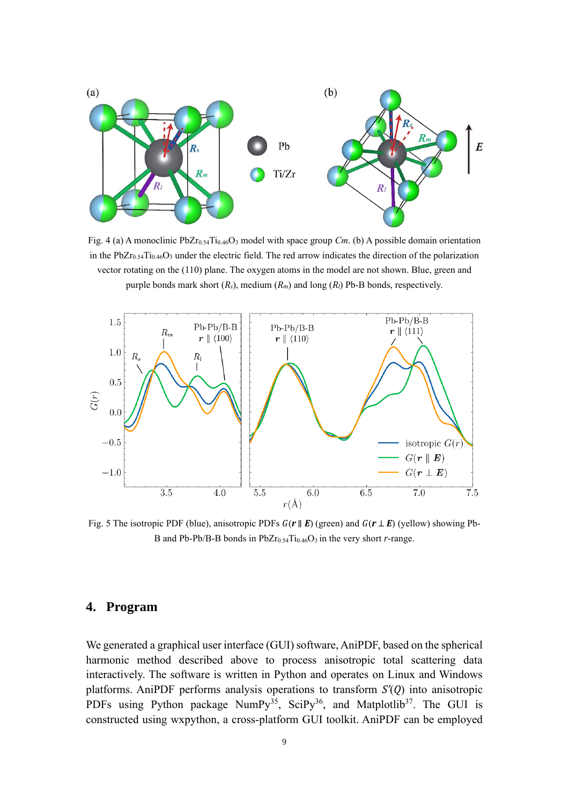

<span id="page-8-0"></span>Fig. 4 (a) A monoclinic PbZr0.54Ti0.46O<sup>3</sup> model with space group *Cm*. (b) A possible domain orientation in the  $PbZr_{0.54}Ti_{0.46}O_3$  under the electric field. The red arrow indicates the direction of the polarization vector rotating on the (110) plane. The oxygen atoms in the model are not shown. Blue, green and purple bonds mark short (*Rs*), medium (*Rm*) and long (*Rl*) Pb-B bonds, respectively.



<span id="page-8-1"></span>Fig. 5 The isotropic PDF (blue), anisotropic PDFs *G*(*r* ∥ *E*) (green) and *G*(*r* ⊥ *E*) (yellow) showing Pb-B and Pb-Pb/B-B bonds in  $PbZr_{0.54}Ti_{0.46}O_3$  in the very short *r*-range.

## **4. Program**

We generated a graphical user interface (GUI) software, AniPDF, based on the spherical harmonic method described above to process anisotropic total scattering data interactively. The software is written in Python and operates on Linux and Windows platforms. AniPDF performs analysis operations to transform *S'*(*Q*) into anisotropic PDFs using Python package  $NumPy^{35}$ , SciPy<sup>36</sup>, and Matplotlib<sup>37</sup>. The GUI is constructed using wxpython, a cross-platform GUI toolkit. AniPDF can be employed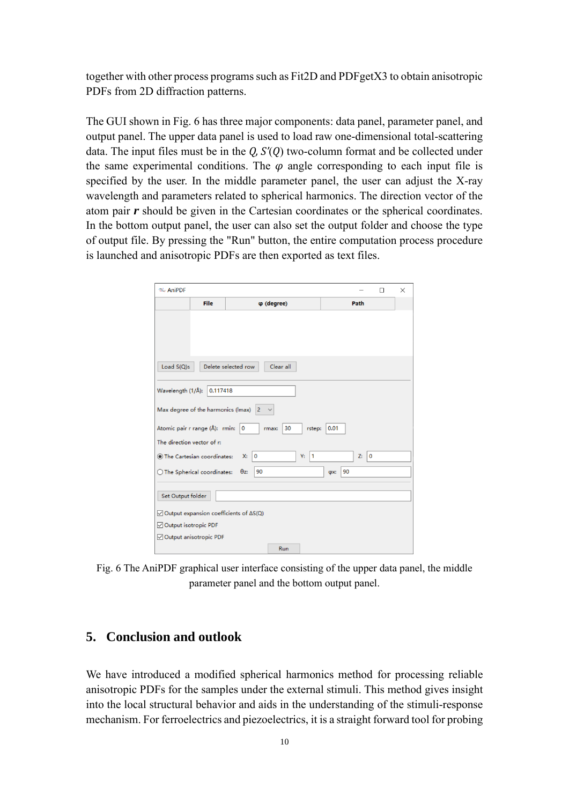together with other process programs such as Fit2D and PDFgetX3 to obtain anisotropic PDFs from 2D diffraction patterns.

The GUI shown in [Fig. 6](#page-9-0) has three major components: data panel, parameter panel, and output panel. The upper data panel is used to load raw one-dimensional total-scattering data. The input files must be in the *Q, S'*(*Q*) two-column format and be collected under the same experimental conditions. The  $\varphi$  angle corresponding to each input file is specified by the user. In the middle parameter panel, the user can adjust the X-ray wavelength and parameters related to spherical harmonics. The direction vector of the atom pair *r* should be given in the Cartesian coordinates or the spherical coordinates. In the bottom output panel, the user can also set the output folder and choose the type of output file. By pressing the "Run" button, the entire computation process procedure is launched and anisotropic PDFs are then exported as text files.

| <b>W</b> AniPDF                                                   |      |                     |            |          |     |      |     | $\Box$ | X |
|-------------------------------------------------------------------|------|---------------------|------------|----------|-----|------|-----|--------|---|
|                                                                   | File |                     | φ (degree) |          |     | Path |     |        |   |
|                                                                   |      |                     |            |          |     |      |     |        |   |
|                                                                   |      |                     |            |          |     |      |     |        |   |
| Load $S(Q)s$                                                      |      | Delete selected row | Clear all  |          |     |      |     |        |   |
| Wavelength (1/Å):<br>0.117418                                     |      |                     |            |          |     |      |     |        |   |
| Max degree of the harmonics (Imax) 2                              |      |                     |            |          |     |      |     |        |   |
| Atomic pair r range (Å): rmin: 0<br>30<br>0.01<br>rstep:<br>rmax: |      |                     |            |          |     |      |     |        |   |
| The direction vector of r:                                        |      |                     |            |          |     |      |     |        |   |
| The Cartesian coordinates:                                        |      | $\circ$<br>X:       |            | Y:<br>11 |     | Z:   | l o |        |   |
| $\bigcirc$ The Spherical coordinates:                             |      | 90<br>$\theta$ z:   |            |          | фх: | 90   |     |        |   |
| Set Output folder                                                 |      |                     |            |          |     |      |     |        |   |
| $\sqrt{ }$ Output expansion coefficients of $\Delta S(Q)$         |      |                     |            |          |     |      |     |        |   |
| Output isotropic PDF                                              |      |                     |            |          |     |      |     |        |   |
| Output anisotropic PDF                                            |      |                     |            |          |     |      |     |        |   |
|                                                                   |      |                     | Run        |          |     |      |     |        |   |

<span id="page-9-0"></span>Fig. 6 The AniPDF graphical user interface consisting of the upper data panel, the middle parameter panel and the bottom output panel.

## **5. Conclusion and outlook**

We have introduced a modified spherical harmonics method for processing reliable anisotropic PDFs for the samples under the external stimuli. This method gives insight into the local structural behavior and aids in the understanding of the stimuli-response mechanism. For ferroelectrics and piezoelectrics, it is a straight forward tool for probing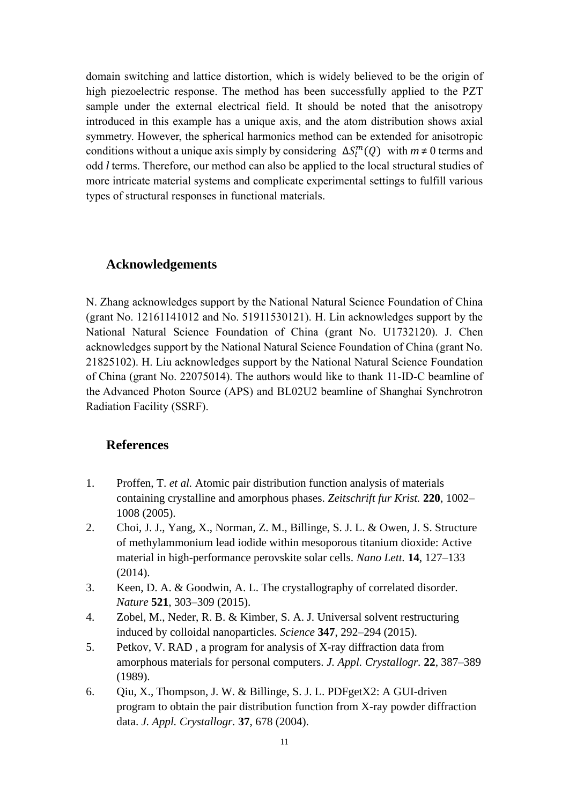domain switching and lattice distortion, which is widely believed to be the origin of high piezoelectric response. The method has been successfully applied to the PZT sample under the external electrical field. It should be noted that the anisotropy introduced in this example has a unique axis, and the atom distribution shows axial symmetry. However, the spherical harmonics method can be extended for anisotropic conditions without a unique axis simply by considering  $\Delta S_l^m(Q)$  with  $m \neq 0$  terms and odd *l* terms. Therefore, our method can also be applied to the local structural studies of more intricate material systems and complicate experimental settings to fulfill various types of structural responses in functional materials.

### **Acknowledgements**

N. Zhang acknowledges support by the National Natural Science Foundation of China (grant No. 12161141012 and No. 51911530121). H. Lin acknowledges support by the National Natural Science Foundation of China (grant No. U1732120). J. Chen acknowledges support by the National Natural Science Foundation of China (grant No. 21825102). H. Liu acknowledges support by the National Natural Science Foundation of China (grant No. 22075014). The authors would like to thank 11-ID-C beamline of the Advanced Photon Source (APS) and BL02U2 beamline of Shanghai Synchrotron Radiation Facility (SSRF).

### **References**

- 1. Proffen, T. *et al.* Atomic pair distribution function analysis of materials containing crystalline and amorphous phases. *Zeitschrift fur Krist.* **220**, 1002– 1008 (2005).
- 2. Choi, J. J., Yang, X., Norman, Z. M., Billinge, S. J. L. & Owen, J. S. Structure of methylammonium lead iodide within mesoporous titanium dioxide: Active material in high-performance perovskite solar cells. *Nano Lett.* **14**, 127–133 (2014).
- 3. Keen, D. A. & Goodwin, A. L. The crystallography of correlated disorder. *Nature* **521**, 303–309 (2015).
- 4. Zobel, M., Neder, R. B. & Kimber, S. A. J. Universal solvent restructuring induced by colloidal nanoparticles. *Science* **347**, 292–294 (2015).
- 5. Petkov, V. RAD , a program for analysis of X-ray diffraction data from amorphous materials for personal computers. *J. Appl. Crystallogr.* **22**, 387–389 (1989).
- 6. Qiu, X., Thompson, J. W. & Billinge, S. J. L. PDFgetX2: A GUI-driven program to obtain the pair distribution function from X-ray powder diffraction data. *J. Appl. Crystallogr.* **37**, 678 (2004).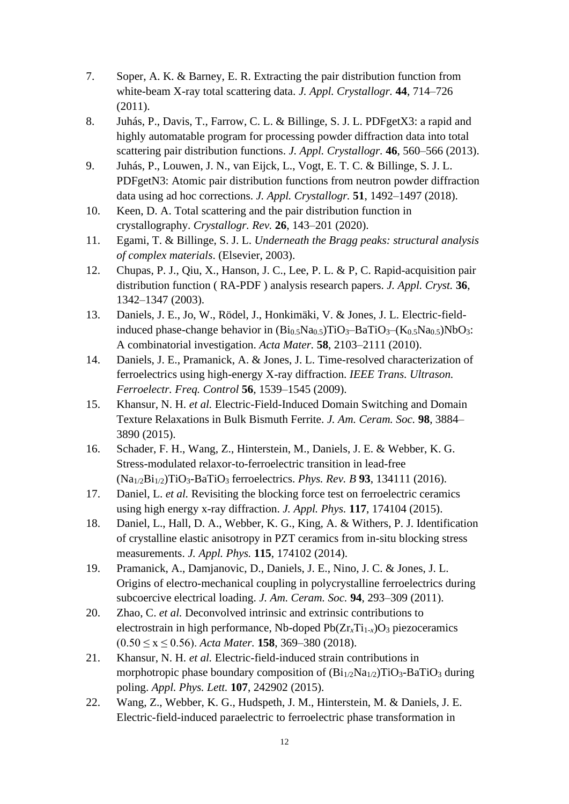- 7. Soper, A. K. & Barney, E. R. Extracting the pair distribution function from white-beam X-ray total scattering data. *J. Appl. Crystallogr.* **44**, 714–726 (2011).
- 8. Juhás, P., Davis, T., Farrow, C. L. & Billinge, S. J. L. PDFgetX3: a rapid and highly automatable program for processing powder diffraction data into total scattering pair distribution functions. *J. Appl. Crystallogr.* **46**, 560–566 (2013).
- 9. Juhás, P., Louwen, J. N., van Eijck, L., Vogt, E. T. C. & Billinge, S. J. L. PDFgetN3: Atomic pair distribution functions from neutron powder diffraction data using ad hoc corrections. *J. Appl. Crystallogr.* **51**, 1492–1497 (2018).
- 10. Keen, D. A. Total scattering and the pair distribution function in crystallography. *Crystallogr. Rev.* **26**, 143–201 (2020).
- 11. Egami, T. & Billinge, S. J. L. *Underneath the Bragg peaks: structural analysis of complex materials*. (Elsevier, 2003).
- 12. Chupas, P. J., Qiu, X., Hanson, J. C., Lee, P. L. & P, C. Rapid-acquisition pair distribution function ( RA-PDF ) analysis research papers. *J. Appl. Cryst.* **36**, 1342–1347 (2003).
- 13. Daniels, J. E., Jo, W., Rödel, J., Honkimäki, V. & Jones, J. L. Electric-fieldinduced phase-change behavior in  $(Bi_0, Na_0, 5)TiO_3-BaTiO_3-(K_0, Na_0, 5)NbO_3$ : A combinatorial investigation. *Acta Mater.* **58**, 2103–2111 (2010).
- 14. Daniels, J. E., Pramanick, A. & Jones, J. L. Time-resolved characterization of ferroelectrics using high-energy X-ray diffraction. *IEEE Trans. Ultrason. Ferroelectr. Freq. Control* **56**, 1539–1545 (2009).
- 15. Khansur, N. H. *et al.* Electric-Field-Induced Domain Switching and Domain Texture Relaxations in Bulk Bismuth Ferrite. *J. Am. Ceram. Soc.* **98**, 3884– 3890 (2015).
- 16. Schader, F. H., Wang, Z., Hinterstein, M., Daniels, J. E. & Webber, K. G. Stress-modulated relaxor-to-ferroelectric transition in lead-free (Na1/2Bi1/2)TiO3-BaTiO<sup>3</sup> ferroelectrics. *Phys. Rev. B* **93**, 134111 (2016).
- 17. Daniel, L. *et al.* Revisiting the blocking force test on ferroelectric ceramics using high energy x-ray diffraction. *J. Appl. Phys.* **117**, 174104 (2015).
- 18. Daniel, L., Hall, D. A., Webber, K. G., King, A. & Withers, P. J. Identification of crystalline elastic anisotropy in PZT ceramics from in-situ blocking stress measurements. *J. Appl. Phys.* **115**, 174102 (2014).
- 19. Pramanick, A., Damjanovic, D., Daniels, J. E., Nino, J. C. & Jones, J. L. Origins of electro-mechanical coupling in polycrystalline ferroelectrics during subcoercive electrical loading. *J. Am. Ceram. Soc.* **94**, 293–309 (2011).
- 20. Zhao, C. *et al.* Deconvolved intrinsic and extrinsic contributions to electrostrain in high performance, Nb-doped  $Pb(Zr<sub>x</sub>Ti<sub>1-x</sub>)O<sub>3</sub>$  piezoceramics (0.50 ≤ x ≤ 0.56). *Acta Mater.* **158**, 369–380 (2018).
- 21. Khansur, N. H. *et al.* Electric-field-induced strain contributions in morphotropic phase boundary composition of  $(Bi_{1/2}Na_{1/2})TiO_3-BaTiO_3$  during poling. *Appl. Phys. Lett.* **107**, 242902 (2015).
- 22. Wang, Z., Webber, K. G., Hudspeth, J. M., Hinterstein, M. & Daniels, J. E. Electric-field-induced paraelectric to ferroelectric phase transformation in